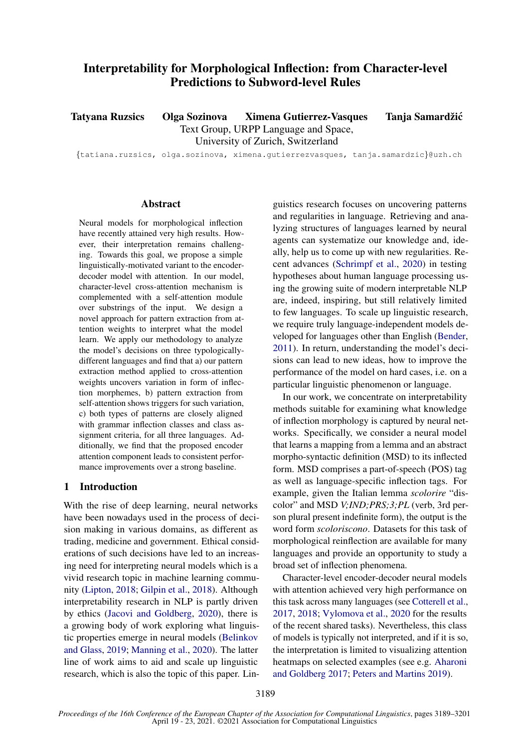# Interpretability for Morphological Inflection: from Character-level Predictions to Subword-level Rules

Tatyana Ruzsics Olga Sozinova Ximena Gutierrez-Vasques Tanja Samardžić

Text Group, URPP Language and Space,

University of Zurich, Switzerland

{tatiana.ruzsics, olga.sozinova, ximena.gutierrezvasques, tanja.samardzic}@uzh.ch

## Abstract

Neural models for morphological inflection have recently attained very high results. However, their interpretation remains challenging. Towards this goal, we propose a simple linguistically-motivated variant to the encoderdecoder model with attention. In our model, character-level cross-attention mechanism is complemented with a self-attention module over substrings of the input. We design a novel approach for pattern extraction from attention weights to interpret what the model learn. We apply our methodology to analyze the model's decisions on three typologicallydifferent languages and find that a) our pattern extraction method applied to cross-attention weights uncovers variation in form of inflection morphemes, b) pattern extraction from self-attention shows triggers for such variation, c) both types of patterns are closely aligned with grammar inflection classes and class assignment criteria, for all three languages. Additionally, we find that the proposed encoder attention component leads to consistent performance improvements over a strong baseline.

## 1 Introduction

With the rise of deep learning, neural networks have been nowadays used in the process of decision making in various domains, as different as trading, medicine and government. Ethical considerations of such decisions have led to an increasing need for interpreting neural models which is a vivid research topic in machine learning community [\(Lipton,](#page-9-0) [2018;](#page-9-0) [Gilpin et al.,](#page-9-1) [2018\)](#page-9-1). Although interpretability research in NLP is partly driven by ethics [\(Jacovi and Goldberg,](#page-9-2) [2020\)](#page-9-2), there is a growing body of work exploring what linguistic properties emerge in neural models [\(Belinkov](#page-9-3) [and Glass,](#page-9-3) [2019;](#page-9-3) [Manning et al.,](#page-9-4) [2020\)](#page-9-4). The latter line of work aims to aid and scale up linguistic research, which is also the topic of this paper. Lin-

guistics research focuses on uncovering patterns and regularities in language. Retrieving and analyzing structures of languages learned by neural agents can systematize our knowledge and, ideally, help us to come up with new regularities. Recent advances [\(Schrimpf et al.,](#page-9-5) [2020\)](#page-9-5) in testing hypotheses about human language processing using the growing suite of modern interpretable NLP are, indeed, inspiring, but still relatively limited to few languages. To scale up linguistic research, we require truly language-independent models developed for languages other than English [\(Bender,](#page-9-6) [2011\)](#page-9-6). In return, understanding the model's decisions can lead to new ideas, how to improve the performance of the model on hard cases, i.e. on a particular linguistic phenomenon or language.

In our work, we concentrate on interpretability methods suitable for examining what knowledge of inflection morphology is captured by neural networks. Specifically, we consider a neural model that learns a mapping from a lemma and an abstract morpho-syntactic definition (MSD) to its inflected form. MSD comprises a part-of-speech (POS) tag as well as language-specific inflection tags. For example, given the Italian lemma *scolorire* "discolor" and MSD *V;IND;PRS;3;PL* (verb, 3rd person plural present indefinite form), the output is the word form *scoloriscono*. Datasets for this task of morphological reinflection are available for many languages and provide an opportunity to study a broad set of inflection phenomena.

Character-level encoder-decoder neural models with attention achieved very high performance on this task across many languages (see [Cotterell et al.,](#page-9-7) [2017,](#page-9-7) [2018;](#page-9-8) [Vylomova et al.,](#page-10-0) [2020](#page-10-0) for the results of the recent shared tasks). Nevertheless, this class of models is typically not interpreted, and if it is so, the interpretation is limited to visualizing attention heatmaps on selected examples (see e.g. [Aharoni](#page-9-9) [and Goldberg](#page-9-9) [2017;](#page-9-9) [Peters and Martins](#page-9-10) [2019\)](#page-9-10).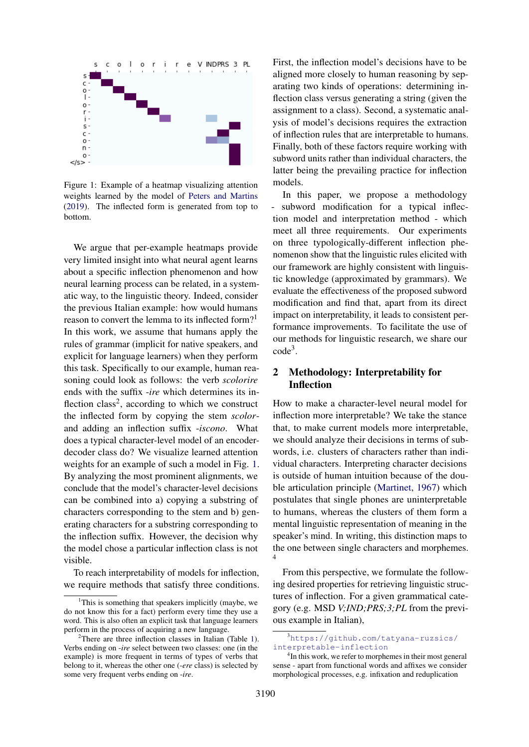<span id="page-1-0"></span>

Figure 1: Example of a heatmap visualizing attention weights learned by the model of [Peters and Martins](#page-9-10) [\(2019\)](#page-9-10). The inflected form is generated from top to bottom.

We argue that per-example heatmaps provide very limited insight into what neural agent learns about a specific inflection phenomenon and how neural learning process can be related, in a systematic way, to the linguistic theory. Indeed, consider the previous Italian example: how would humans reason to convert the lemma to its inflected form?<sup>1</sup> In this work, we assume that humans apply the rules of grammar (implicit for native speakers, and explicit for language learners) when they perform this task. Specifically to our example, human reasoning could look as follows: the verb *scolorire* ends with the suffix -*ire* which determines its inflection class<sup>2</sup>, according to which we construct the inflected form by copying the stem *scolor*and adding an inflection suffix -*iscono*. What does a typical character-level model of an encoderdecoder class do? We visualize learned attention weights for an example of such a model in Fig. [1.](#page-1-0) By analyzing the most prominent alignments, we conclude that the model's character-level decisions can be combined into a) copying a substring of characters corresponding to the stem and b) generating characters for a substring corresponding to the inflection suffix. However, the decision why the model chose a particular inflection class is not visible.

To reach interpretability of models for inflection, we require methods that satisfy three conditions.

First, the inflection model's decisions have to be aligned more closely to human reasoning by separating two kinds of operations: determining inflection class versus generating a string (given the assignment to a class). Second, a systematic analysis of model's decisions requires the extraction of inflection rules that are interpretable to humans. Finally, both of these factors require working with subword units rather than individual characters, the latter being the prevailing practice for inflection models.

In this paper, we propose a methodology - subword modification for a typical inflection model and interpretation method - which meet all three requirements. Our experiments on three typologically-different inflection phenomenon show that the linguistic rules elicited with our framework are highly consistent with linguistic knowledge (approximated by grammars). We evaluate the effectiveness of the proposed subword modification and find that, apart from its direct impact on interpretability, it leads to consistent performance improvements. To facilitate the use of our methods for linguistic research, we share our code<sup>3</sup> .

## 2 Methodology: Interpretability for Inflection

How to make a character-level neural model for inflection more interpretable? We take the stance that, to make current models more interpretable, we should analyze their decisions in terms of subwords, i.e. clusters of characters rather than individual characters. Interpreting character decisions is outside of human intuition because of the double articulation principle [\(Martinet,](#page-9-11) [1967\)](#page-9-11) which postulates that single phones are uninterpretable to humans, whereas the clusters of them form a mental linguistic representation of meaning in the speaker's mind. In writing, this distinction maps to the one between single characters and morphemes. 4

From this perspective, we formulate the following desired properties for retrieving linguistic structures of inflection. For a given grammatical category (e.g. MSD *V;IND;PRS;3;PL* from the previous example in Italian),

<sup>&</sup>lt;sup>1</sup>This is something that speakers implicitly (maybe, we do not know this for a fact) perform every time they use a word. This is also often an explicit task that language learners perform in the process of acquiring a new language.

<sup>&</sup>lt;sup>2</sup>There are three inflection classes in Italian (Table [1\)](#page-2-0). Verbs ending on -*ire* select between two classes: one (in the example) is more frequent in terms of types of verbs that belong to it, whereas the other one (-*ere* class) is selected by some very frequent verbs ending on -*ire*.

<sup>3</sup>[https://github.com/tatyana-ruzsics/](https://github.com/tatyana-ruzsics/interpretable-inflection) [interpretable-inflection](https://github.com/tatyana-ruzsics/interpretable-inflection)

<sup>&</sup>lt;sup>4</sup>In this work, we refer to morphemes in their most general sense - apart from functional words and affixes we consider morphological processes, e.g. infixation and reduplication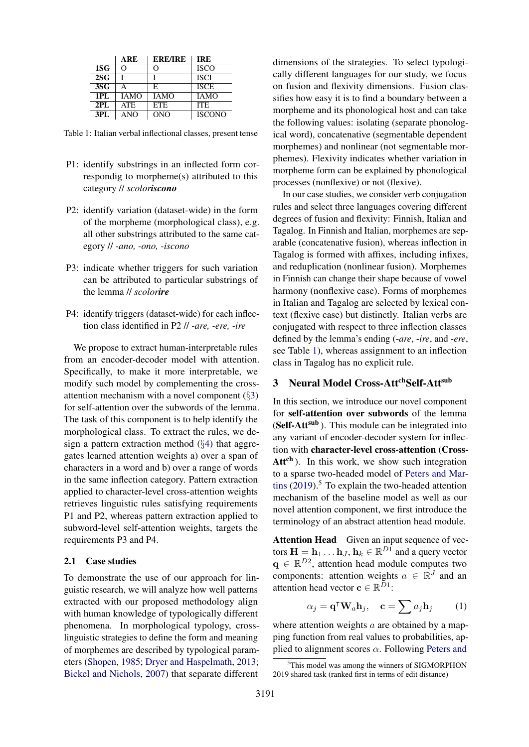<span id="page-2-0"></span>

|                 | ARE        | <b>ERE/IRE</b> | <b>IRE</b>    |
|-----------------|------------|----------------|---------------|
| 1S <sub>G</sub> | റ          | റ              | <b>ISCO</b>   |
| 2SG             |            |                | <b>ISCI</b>   |
| 3S <sub>G</sub> |            | E              | <b>ISCE</b>   |
| 1PI.            | IAMO       | <b>IAMO</b>    | <b>IAMO</b>   |
| 2PI.            | <b>ATE</b> | <b>ETE</b>     | <b>ITE</b>    |
| 3PI.            | ANO        | <b>ONO</b>     | <b>ISCONO</b> |

Table 1: Italian verbal inflectional classes, present tense

- P1: identify substrings in an inflected form correspondig to morpheme(s) attributed to this category // *scoloriscono*
- P2: identify variation (dataset-wide) in the form of the morpheme (morphological class), e.g. all other substrings attributed to the same category // *-ano, -ono, -iscono*
- P3: indicate whether triggers for such variation can be attributed to particular substrings of the lemma // *scolorire*
- P4: identify triggers (dataset-wide) for each inflection class identified in P2 // *-are, -ere, -ire*

We propose to extract human-interpretable rules from an encoder-decoder model with attention. Specifically, to make it more interpretable, we modify such model by complementing the crossattention mechanism with a novel component (§[3\)](#page-2-1) for self-attention over the subwords of the lemma. The task of this component is to help identify the morphological class. To extract the rules, we design a pattern extraction method  $(\S4)$  $(\S4)$  that aggregates learned attention weights a) over a span of characters in a word and b) over a range of words in the same inflection category. Pattern extraction applied to character-level cross-attention weights retrieves linguistic rules satisfying requirements P1 and P2, whereas pattern extraction applied to subword-level self-attention weights, targets the requirements P3 and P4.

## <span id="page-2-2"></span>2.1 Case studies

To demonstrate the use of our approach for linguistic research, we will analyze how well patterns extracted with our proposed methodology align with human knowledge of typologically different phenomena. In morphological typology, crosslinguistic strategies to define the form and meaning of morphemes are described by typological parameters [\(Shopen,](#page-9-12) [1985;](#page-9-12) [Dryer and Haspelmath,](#page-9-13) [2013;](#page-9-13) [Bickel and Nichols,](#page-9-14) [2007\)](#page-9-14) that separate different dimensions of the strategies. To select typologically different languages for our study, we focus on fusion and flexivity dimensions. Fusion classifies how easy it is to find a boundary between a morpheme and its phonological host and can take the following values: isolating (separate phonological word), concatenative (segmentable dependent morphemes) and nonlinear (not segmentable morphemes). Flexivity indicates whether variation in morpheme form can be explained by phonological processes (nonflexive) or not (flexive).

In our case studies, we consider verb conjugation rules and select three languages covering different degrees of fusion and flexivity: Finnish, Italian and Tagalog. In Finnish and Italian, morphemes are separable (concatenative fusion), whereas inflection in Tagalog is formed with affixes, including infixes, and reduplication (nonlinear fusion). Morphemes in Finnish can change their shape because of vowel harmony (nonflexive case). Forms of morphemes in Italian and Tagalog are selected by lexical context (flexive case) but distinctly. Italian verbs are conjugated with respect to three inflection classes defined by the lemma's ending (-*are*, -*ire*, and -*ere*, see Table [1\)](#page-2-0), whereas assignment to an inflection class in Tagalog has no explicit rule.

# <span id="page-2-1"></span>3 Neural Model Cross-AttchSelf-Attsub

In this section, we introduce our novel component for self-attention over subwords of the lemma (Self-Att<sup>sub</sup>). This module can be integrated into any variant of encoder-decoder system for inflection with character-level cross-attention (Cross- $Att<sup>ch</sup>$ ). In this work, we show such integration to a sparse two-headed model of [Peters and Mar](#page-9-10)[tins](#page-9-10)  $(2019)$ <sup>5</sup>. To explain the two-headed attention mechanism of the baseline model as well as our novel attention component, we first introduce the terminology of an abstract attention head module.

Attention Head Given an input sequence of vectors  $\mathbf{H} = \mathbf{h}_1 \dots \mathbf{h}_J$ ,  $\mathbf{h}_k \in \mathbb{R}^{D1}$  and a query vector  $\mathbf{q} \in \mathbb{R}^{D2}$ , attention head module computes two components: attention weights  $a \in \mathbb{R}^J$  and an attention head vector  $\mathbf{c} \in \mathbb{R}^{D_1}$ :

$$
\alpha_j = \mathbf{q}^\mathsf{T} \mathbf{W}_a \mathbf{h}_j, \quad \mathbf{c} = \sum a_j \mathbf{h}_j \tag{1}
$$

where attention weights  $a$  are obtained by a mapping function from real values to probabilities, applied to alignment scores  $\alpha$ . Following [Peters and](#page-9-10)

<sup>&</sup>lt;sup>5</sup>[This model was among the winners of SIGMORPHON](#page-9-10) [2019 shared task \(ranked first in terms of edit distance\)](#page-9-10)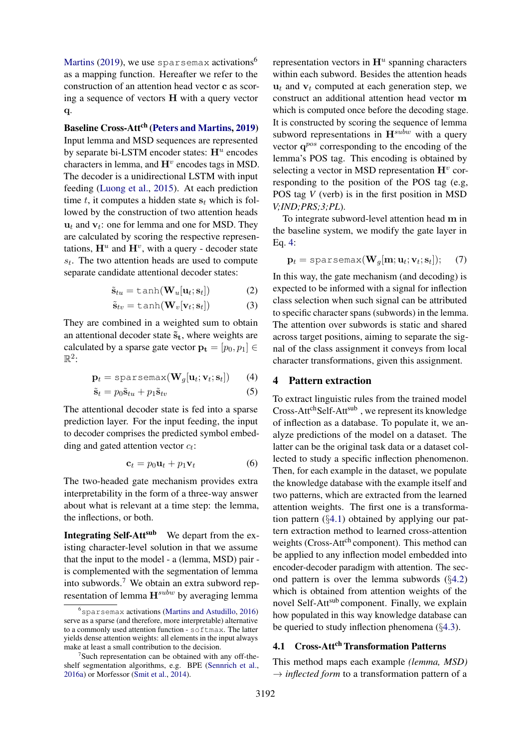[Martins](#page-9-10) [\(2019\)](#page-9-10), we use sparsemax activations<sup>6</sup> as a mapping function. Hereafter we refer to the construction of an attention head vector c as scoring a sequence of vectors H with a query vector q.

Baseline Cross-Att<sup>ch</sup> [\(Peters and Martins,](#page-9-10) [2019\)](#page-9-10) Input lemma and MSD sequences are represented by separate bi-LSTM encoder states:  $H^u$  encodes characters in lemma, and  $\mathbf{H}^v$  encodes tags in MSD. The decoder is a unidirectional LSTM with input feeding [\(Luong et al.,](#page-9-15) [2015\)](#page-9-15). At each prediction time t, it computes a hidden state  $s_t$  which is followed by the construction of two attention heads  $\mathbf{u}_t$  and  $\mathbf{v}_t$ : one for lemma and one for MSD. They are calculated by scoring the respective representations,  $\mathbf{H}^u$  and  $\mathbf{H}^v$ , with a query - decoder state  $s_t$ . The two attention heads are used to compute separate candidate attentional decoder states:

$$
\tilde{\mathbf{s}}_{tu} = \tanh(\mathbf{W}_u[\mathbf{u}_t; \mathbf{s}_t]) \tag{2}
$$

$$
\tilde{\mathbf{s}}_{tv} = \tanh(\mathbf{W}_v[\mathbf{v}_t; \mathbf{s}_t])
$$
 (3)

They are combined in a weighted sum to obtain an attentional decoder state  $\tilde{s}_t$ , where weights are calculated by a sparse gate vector  $\mathbf{p_t} = [p_0, p_1] \in$  $\mathbb{R}^2$ :

$$
\mathbf{p}_t = \text{sparsemax}(\mathbf{W}_g[\mathbf{u}_t; \mathbf{v}_t; \mathbf{s}_t]) \qquad (4)
$$

$$
\tilde{\mathbf{s}}_t = p_0 \tilde{\mathbf{s}}_{tu} + p_1 \tilde{\mathbf{s}}_{tv} \tag{5}
$$

The attentional decoder state is fed into a sparse prediction layer. For the input feeding, the input to decoder comprises the predicted symbol embedding and gated attention vector  $c_t$ :

$$
\mathbf{c}_t = p_0 \mathbf{u}_t + p_1 \mathbf{v}_t \tag{6}
$$

The two-headed gate mechanism provides extra interpretability in the form of a three-way answer about what is relevant at a time step: the lemma, the inflections, or both.

Integrating Self-Att<sup>sub</sup> We depart from the existing character-level solution in that we assume that the input to the model - a (lemma, MSD) pair is complemented with the segmentation of lemma into subwords.<sup>7</sup> We obtain an extra subword representation of lemma  $H^{subw}$  by averaging lemma

representation vectors in  $\mathbf{H}^u$  spanning characters within each subword. Besides the attention heads  $u_t$  and  $v_t$  computed at each generation step, we construct an additional attention head vector m which is computed once before the decoding stage. It is constructed by scoring the sequence of lemma subword representations in  $\mathbf{H}^{subw}$  with a query vector  $q^{pos}$  corresponding to the encoding of the lemma's POS tag. This encoding is obtained by selecting a vector in MSD representation  $\mathbf{H}^v$  corresponding to the position of the POS tag (e.g, POS tag *V* (verb) is in the first position in MSD *V;IND;PRS;3;PL*).

To integrate subword-level attention head m in the baseline system, we modify the gate layer in Eq. [4:](#page-3-1)

$$
\mathbf{p}_t = \texttt{sparsemax}(\mathbf{W}_g[\mathbf{m}; \mathbf{u}_t; \mathbf{v}_t; \mathbf{s}_t]); \quad (7)
$$

In this way, the gate mechanism (and decoding) is expected to be informed with a signal for inflection class selection when such signal can be attributed to specific character spans (subwords) in the lemma. The attention over subwords is static and shared across target positions, aiming to separate the signal of the class assignment it conveys from local character transformations, given this assignment.

## <span id="page-3-1"></span><span id="page-3-0"></span>4 Pattern extraction

To extract linguistic rules from the trained model Cross-Att<sup>ch</sup>Self-Att<sup>sub</sup>, we represent its knowledge of inflection as a database. To populate it, we analyze predictions of the model on a dataset. The latter can be the original task data or a dataset collected to study a specific inflection phenomenon. Then, for each example in the dataset, we populate the knowledge database with the example itself and two patterns, which are extracted from the learned attention weights. The first one is a transformation pattern (§[4.1\)](#page-3-2) obtained by applying our pattern extraction method to learned cross-attention weights (Cross-Att<sup>ch</sup> component). This method can be applied to any inflection model embedded into encoder-decoder paradigm with attention. The second pattern is over the lemma subwords (§[4.2\)](#page-5-0) which is obtained from attention weights of the novel Self-Att<sup>sub</sup> component. Finally, we explain how populated in this way knowledge database can be queried to study inflection phenomena  $(\S 4.3)$  $(\S 4.3)$ .

# <span id="page-3-2"></span>4.1 Cross-Att<sup>ch</sup> Transformation Patterns

This method maps each example *(lemma, MSD)*  $\rightarrow$  *inflected form* to a transformation pattern of a

 $6$ sparsemax activations [\(Martins and Astudillo,](#page-9-16) [2016\)](#page-9-16) serve as a sparse (and therefore, more interpretable) alternative to a commonly used attention function - softmax. The latter yields dense attention weights: all elements in the input always make at least a small contribution to the decision.

<sup>&</sup>lt;sup>7</sup>Such representation can be obtained with any off-theshelf segmentation algorithms, e.g. BPE [\(Sennrich et al.,](#page-9-17) [2016a\)](#page-9-17) or Morfessor [\(Smit et al.,](#page-10-1) [2014\)](#page-10-1).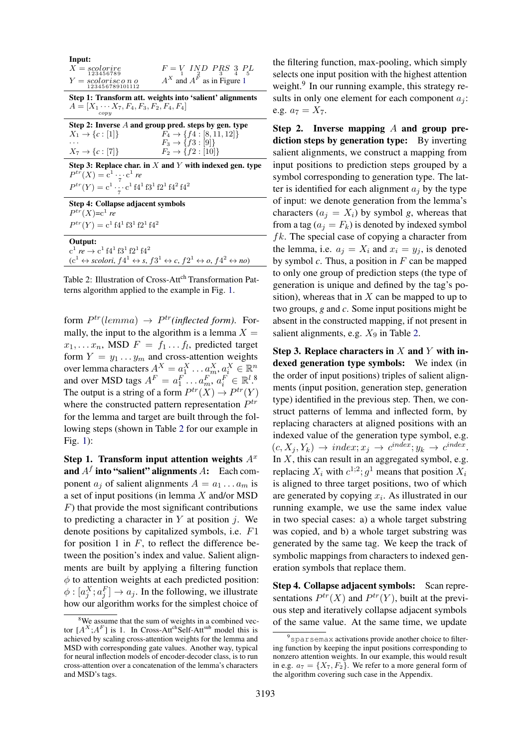<span id="page-4-0"></span>

| Input:<br>$F = V$ IND PRS 3 PL<br>$X = scolorire$<br>123456789<br>$A^X$ and $A^{\overline{F}}$ as in Figure 1<br>$Y = scolorisc\, n\, o$<br>123456789101112                                                                                        |
|----------------------------------------------------------------------------------------------------------------------------------------------------------------------------------------------------------------------------------------------------|
| Step 1: Transform att. weights into 'salient' alignments<br>$A = [X_1 \cdots X_7, F_4, F_3, F_2, F_4, F_4]$<br>$_{copy}$                                                                                                                           |
| Step 2: Inverse $A$ and group pred. steps by gen. type<br>$X_1 \to \{c :  1 \}$<br>$F_4 \rightarrow \{f4 : [8, 11, 12]\}$<br>$F_3 \to \{f3 : [9]\}$<br>$X_7 \to \{c : [7]\}$<br>$F_2 \to \{f2 : [10]\}$                                            |
| Step 3: Replace char. in X and Y with indexed gen. type<br>$P^{tr}(X) = c^1 \cdot \cdots c^1 r$ e<br>$P^{tr}(Y) = c^1 \cdot \cdot c^1 \cdot f4^1 f3^1 f2^1 f4^2 f4^2$                                                                              |
| Step 4: Collapse adjacent symbols<br>$P^{tr}(X)=c^1 re$<br>$P^{tr}(Y) = c^1 f 4^1 f 3^1 f 2^1 f 4^2$                                                                                                                                               |
| Output:<br>$c^1$ re $\rightarrow$ $c^1$ f4 <sup>1</sup> f3 <sup>1</sup> f2 <sup>1</sup> f4 <sup>2</sup><br>$(c^1 \leftrightarrow \text{scolori}, f4^1 \leftrightarrow s, f3^1 \leftrightarrow c, f2^1 \leftrightarrow o, f4^2 \leftrightarrow no)$ |

Table 2: Illustration of Cross-Att<sup>ch</sup> Transformation Patterns algorithm applied to the example in Fig. [1.](#page-1-0)

form  $P^{tr}(lemma) \rightarrow P^{tr}(inflected form)$ . Formally, the input to the algorithm is a lemma  $X =$  $x_1, \ldots, x_n$ , MSD  $F = f_1 \ldots f_l$ , predicted target form  $Y = y_1 \dots y_m$  and cross-attention weights over lemma characters  $A^X = a_1^X \dots a_m^X, a_i^X \in \mathbb{R}^n$ and over MSD tags  $A^F = a_1^F \dots a_m^F, a_i^F \in \mathbb{R}^l$ .<sup>8</sup> The output is a string of a form  $P^{tr}(X) \to P^{tr}(Y)$ where the constructed pattern representation  $P^{tr}$ for the lemma and target are built through the following steps (shown in Table [2](#page-4-0) for our example in Fig. [1\)](#page-1-0):

Step 1. Transform input attention weights  $A<sup>x</sup>$ and  $A^f$  into "salient" alignments  $A$ : Each component  $a_j$  of salient alignments  $A = a_1 \dots a_m$  is a set of input positions (in lemma X and/or MSD  $F$ ) that provide the most significant contributions to predicting a character in  $Y$  at position  $i$ . We denote positions by capitalized symbols, i.e. F1 for position 1 in  $F$ , to reflect the difference between the position's index and value. Salient alignments are built by applying a filtering function  $\phi$  to attention weights at each predicted position:  $\phi$  :  $[a_j^X; a_j^F] \rightarrow a_j$ . In the following, we illustrate how our algorithm works for the simplest choice of

the filtering function, max-pooling, which simply selects one input position with the highest attention weight.<sup>9</sup> In our running example, this strategy results in only one element for each component  $a_i$ : e.g.  $a_7 = X_7$ .

Step 2. Inverse mapping  $A$  and group prediction steps by generation type: By inverting salient alignments, we construct a mapping from input positions to prediction steps grouped by a symbol corresponding to generation type. The latter is identified for each alignment  $a_i$  by the type of input: we denote generation from the lemma's characters  $(a_i = X_i)$  by symbol *g*, whereas that from a tag ( $a_j = F_k$ ) is denoted by indexed symbol  $fk$ . The special case of copying a character from the lemma, i.e.  $a_j = X_i$  and  $x_i = y_j$ , is denoted by symbol  $c$ . Thus, a position in  $F$  can be mapped to only one group of prediction steps (the type of generation is unique and defined by the tag's position), whereas that in  $X$  can be mapped to up to two groups, *g* and *c*. Some input positions might be absent in the constructed mapping, if not present in salient alignments, e.g.  $X_9$  in Table [2.](#page-4-0)

Step 3. Replace characters in  $X$  and  $Y$  with indexed generation type symbols: We index (in the order of input positions) triples of salient alignments (input position, generation step, generation type) identified in the previous step. Then, we construct patterns of lemma and inflected form, by replacing characters at aligned positions with an indexed value of the generation type symbol, e.g.  $(c, X_j, Y_k) \rightarrow index; x_j \rightarrow c^{index}; y_k \rightarrow c^{index}.$ In  $X$ , this can result in an aggregated symbol, e.g. replacing  $X_i$  with  $c^{1,2}$ ;  $g^1$  means that position  $X_i$ is aligned to three target positions, two of which are generated by copying  $x_i$ . As illustrated in our running example, we use the same index value in two special cases: a) a whole target substring was copied, and b) a whole target substring was generated by the same tag. We keep the track of symbolic mappings from characters to indexed generation symbols that replace them.

Step 4. Collapse adjacent symbols: Scan representations  $P^{tr}(X)$  and  $P^{tr}(Y)$ , built at the previous step and iteratively collapse adjacent symbols of the same value. At the same time, we update

<sup>&</sup>lt;sup>8</sup>We assume that the sum of weights in a combined vector  $[A^X; A^F]$  is 1. In Cross-Att<sup>ch</sup>Self-Att<sup>sub</sup> model this is achieved by scaling cross-attention weights for the lemma and MSD with corresponding gate values. Another way, typical for neural inflection models of encoder-decoder class, is to run cross-attention over a concatenation of the lemma's characters and MSD's tags.

<sup>&</sup>lt;sup>9</sup> sparsemax activations provide another choice to filtering function by keeping the input positions corresponding to nonzero attention weights. In our example, this would result in e.g.  $a_7 = \{X_7, F_2\}$ . We refer to a more general form of the algorithm covering such case in the Appendix.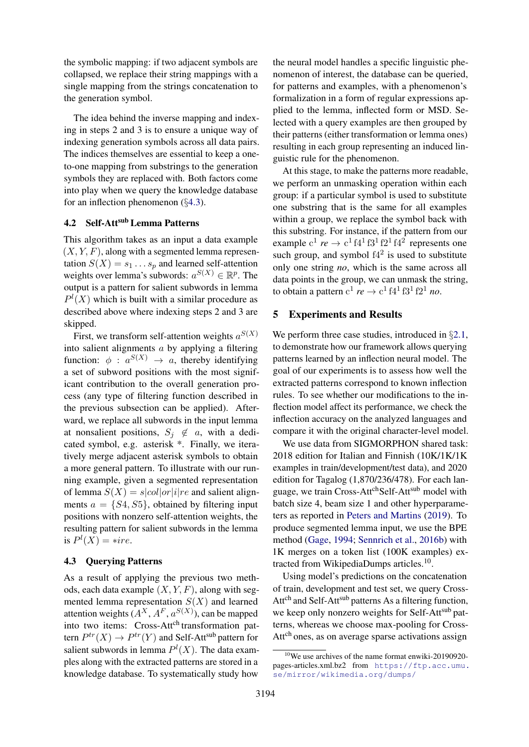the symbolic mapping: if two adjacent symbols are collapsed, we replace their string mappings with a single mapping from the strings concatenation to the generation symbol.

The idea behind the inverse mapping and indexing in steps 2 and 3 is to ensure a unique way of indexing generation symbols across all data pairs. The indices themselves are essential to keep a oneto-one mapping from substrings to the generation symbols they are replaced with. Both factors come into play when we query the knowledge database for an inflection phenomenon  $(\S 4.3)$  $(\S 4.3)$ .

# <span id="page-5-0"></span>4.2 Self-Att<sup>sub</sup> Lemma Patterns

This algorithm takes as an input a data example  $(X, Y, F)$ , along with a segmented lemma representation  $S(X) = s_1 \dots s_p$  and learned self-attention weights over lemma's subwords:  $a^{S(X)} \in \mathbb{R}^p$ . The output is a pattern for salient subwords in lemma  $P^{l}(X)$  which is built with a similar procedure as described above where indexing steps 2 and 3 are skipped.

First, we transform self-attention weights  $a^{S(X)}$ into salient alignments a by applying a filtering function:  $\phi$  :  $a^{S(X)} \rightarrow a$ , thereby identifying a set of subword positions with the most significant contribution to the overall generation process (any type of filtering function described in the previous subsection can be applied). Afterward, we replace all subwords in the input lemma at nonsalient positions,  $S_i \notin a$ , with a dedicated symbol, e.g. asterisk \*. Finally, we iteratively merge adjacent asterisk symbols to obtain a more general pattern. To illustrate with our running example, given a segmented representation of lemma  $S(X) = s|col|or|i|re$  and salient alignments  $a = \{S_4, S_5\}$ , obtained by filtering input positions with nonzero self-attention weights, the resulting pattern for salient subwords in the lemma is  $P^l(X) = \ast ire$ .

#### <span id="page-5-1"></span>4.3 Querying Patterns

As a result of applying the previous two methods, each data example  $(X, Y, F)$ , along with segmented lemma representation  $S(X)$  and learned attention weights  $(A^X, A^F, a^{S(X)})$ , can be mapped into two items: Cross-Att<sup>ch</sup> transformation pattern  $P^{tr}(X) \to P^{tr}(Y)$  and Self-Att<sup>sub</sup> pattern for salient subwords in lemma  $P^{l}(X)$ . The data examples along with the extracted patterns are stored in a knowledge database. To systematically study how

the neural model handles a specific linguistic phenomenon of interest, the database can be queried, for patterns and examples, with a phenomenon's formalization in a form of regular expressions applied to the lemma, inflected form or MSD. Selected with a query examples are then grouped by their patterns (either transformation or lemma ones) resulting in each group representing an induced linguistic rule for the phenomenon.

At this stage, to make the patterns more readable, we perform an unmasking operation within each group: if a particular symbol is used to substitute one substring that is the same for all examples within a group, we replace the symbol back with this substring. For instance, if the pattern from our example  $c^1$  *re*  $\rightarrow$   $c^1$  f4<sup>1</sup> f3<sup>1</sup> f2<sup>1</sup> f4<sup>2</sup> represents one such group, and symbol  $f4^2$  is used to substitute only one string *no*, which is the same across all data points in the group, we can unmask the string, to obtain a pattern  $c^1$  *re*  $\rightarrow$   $c^1$  f4<sup>1</sup> f3<sup>1</sup> f2<sup>1</sup> *no*.

## 5 Experiments and Results

We perform three case studies, introduced in §[2.1,](#page-2-2) to demonstrate how our framework allows querying patterns learned by an inflection neural model. The goal of our experiments is to assess how well the extracted patterns correspond to known inflection rules. To see whether our modifications to the inflection model affect its performance, we check the inflection accuracy on the analyzed languages and compare it with the original character-level model.

We use data from SIGMORPHON shared task: 2018 edition for Italian and Finnish (10K/1K/1K examples in train/development/test data), and 2020 edition for Tagalog (1,870/236/478). For each language, we train Cross-Att<sup>ch</sup>Self-Att<sup>sub</sup> model with batch size 4, beam size 1 and other hyperparameters as reported in [Peters and Martins](#page-9-10) [\(2019\)](#page-9-10). To produce segmented lemma input, we use the BPE method [\(Gage,](#page-9-18) [1994;](#page-9-18) [Sennrich et al.,](#page-9-19) [2016b\)](#page-9-19) with 1K merges on a token list (100K examples) extracted from WikipediaDumps articles.<sup>10</sup>.

Using model's predictions on the concatenation of train, development and test set, we query Cross-Att<sup>ch</sup> and Self-Att<sup>sub</sup> patterns As a filtering function, we keep only nonzero weights for Self-Attsub patterns, whereas we choose max-pooling for Cross-Att<sup>ch</sup> ones, as on average sparse activations assign

<sup>10</sup>We use archives of the name format enwiki-20190920 pages-articles.xml.bz2 from [https://ftp.acc.umu.](https://ftp.acc.umu.se/mirror/wikimedia.org/dumps/) [se/mirror/wikimedia.org/dumps/](https://ftp.acc.umu.se/mirror/wikimedia.org/dumps/)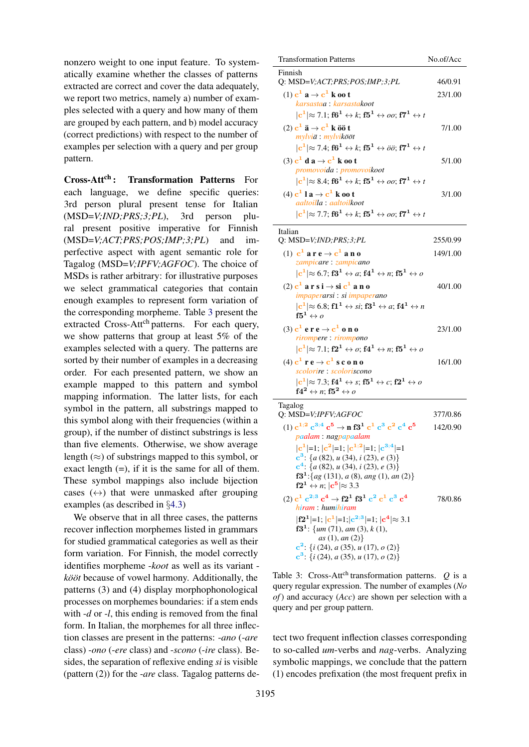nonzero weight to one input feature. To systematically examine whether the classes of patterns extracted are correct and cover the data adequately, we report two metrics, namely a) number of examples selected with a query and how many of them are grouped by each pattern, and b) model accuracy (correct predictions) with respect to the number of examples per selection with a query and per group pattern.

<span id="page-6-1"></span>Cross-Att<sup>ch</sup>: Transformation Patterns For each language, we define specific queries: 3rd person plural present tense for Italian (MSD=*V;IND;PRS;3;PL*), 3rd person plural present positive imperative for Finnish (MSD=*V;ACT;PRS;POS;IMP;3;PL*) and imperfective aspect with agent semantic role for Tagalog (MSD=*V;IPFV;AGFOC*). The choice of MSDs is rather arbitrary: for illustrative purposes we select grammatical categories that contain enough examples to represent form variation of the corresponding morpheme. Table [3](#page-6-0) present the extracted Cross-Att<sup>ch</sup> patterns. For each query, we show patterns that group at least 5% of the examples selected with a query. The patterns are sorted by their number of examples in a decreasing order. For each presented pattern, we show an example mapped to this pattern and symbol mapping information. The latter lists, for each symbol in the pattern, all substrings mapped to this symbol along with their frequencies (within a group), if the number of distinct substrings is less than five elements. Otherwise, we show average length  $(\approx)$  of substrings mapped to this symbol, or exact length  $(=)$ , if it is the same for all of them. These symbol mappings also include bijection cases  $(\leftrightarrow)$  that were unmasked after grouping examples (as described in §[4.3\)](#page-5-1)

We observe that in all three cases, the patterns recover inflection morphemes listed in grammars for studied grammatical categories as well as their form variation. For Finnish, the model correctly identifies morpheme -*koot* as well as its variant *kööt* because of vowel harmony. Additionally, the patterns (3) and (4) display morphophonological processes on morphemes boundaries: if a stem ends with -*d* or -*l*, this ending is removed from the final form. In Italian, the morphemes for all three inflection classes are present in the patterns: -*ano* (-*are* class) -*ono* (-*ere* class) and -*scono* (-*ire* class). Besides, the separation of reflexive ending *si* is visible (pattern (2)) for the -*are* class. Tagalog patterns de-

<span id="page-6-0"></span>

| <b>Transformation Patterns</b>                                                                                                             | No.of/Acc |
|--------------------------------------------------------------------------------------------------------------------------------------------|-----------|
| Finnish<br>Q: MSD=V;ACT;PRS;POS;IMP;3;PL                                                                                                   | 46/0.91   |
| $(1)$ c <sup>1</sup> a $\rightarrow$ c <sup>1</sup> k oo t                                                                                 | 23/1.00   |
| karsastaa: karsastakoot                                                                                                                    |           |
| $ c^1  \approx 7.1$ ; f6 <sup>1</sup> $\leftrightarrow k$ ; f5 <sup>1</sup> $\leftrightarrow oo$ ; f7 <sup>1</sup> $\leftrightarrow t$     |           |
| $(2)$ c <sup>1</sup> $\ddot{a} \rightarrow c^1$ k öö t<br>mylviä : mylvikööt                                                               | 7/1.00    |
| $ {\bf c}^1 \!\approx 7.4;{\bf f6^1}\leftrightarrow k;{\bf f5^1}\leftrightarrow \ddot{o}\ddot{o};{\bf f7^1}\leftrightarrow t$              |           |
| (3) $c^1$ d a $\rightarrow$ $c^1$ k oo t<br>promovoida: promovoikoot                                                                       | 5/1.00    |
| $ {\bf c}^1 \!\approx 8.4;{\bf f6^1}\leftrightarrow k;{\bf f5^1}\leftrightarrow oo;{\bf f7^1}\leftrightarrow t$                            |           |
| $(4) c1 l a \rightarrow c1 k oo t$<br>aaltoilla : aaltoilkoot                                                                              | 3/1.00    |
| $ {\bf c}^1 \approx$ 7.7; ${\bf f6^1}\leftrightarrow k; {\bf f5^1}\leftrightarrow oo; {\bf f7^1}\leftrightarrow t$                         |           |
| Italian<br>Q: $MSD=V;IND;PRS;3;PL$                                                                                                         | 255/0.99  |
| (1) $c^1$ are $\rightarrow$ $c^1$ ano                                                                                                      | 149/1.00  |
| zampicare: zampicano                                                                                                                       |           |
| $ c^1  \approx 6.7$ ; $\mathbf{f3}^1 \leftrightarrow a$ ; $\mathbf{f4}^1 \leftrightarrow n$ ; $\mathbf{f5}^1 \leftrightarrow a$            |           |
| $(2)$ c <sup>1</sup> a r s i $\rightarrow$ si c <sup>1</sup> a n o<br>impaperarsi : si impaperano                                          | 40/1.00   |
| $ c^1  \approx 6.8$ ; $f1^1 \leftrightarrow si$ ; $f3^1 \leftrightarrow a$ ; $f4^1 \leftrightarrow n$<br>$\mathbf{f5^1} \leftrightarrow o$ |           |
| $(3)$ ${\bf c}^1$ e r e $\rightarrow$ ${\bf c}^1$ o n o                                                                                    | 23/1.00   |
| rirompere: rirompono                                                                                                                       |           |
| $ c^1  \approx 7.1$ ; $f2^1 \leftrightarrow o$ ; $f4^1 \leftrightarrow n$ ; $f5^1 \leftrightarrow o$                                       |           |
| $(4) c1 r e \rightarrow c1 s c o n o$<br>scolorire : scoloriscono                                                                          | 16/1.00   |
| $ c^1  \approx 7.3$ ; $f4^1 \leftrightarrow s$ ; $f5^1 \leftrightarrow c$ ; $f2^1 \leftrightarrow o$                                       |           |
| $\mathbf{f4}^{\mathbf{2}} \leftrightarrow n; \mathbf{f5}^{\mathbf{2}} \leftrightarrow o$                                                   |           |
| Tagalog                                                                                                                                    |           |
| Q: MSD=V;IPFV;AGFOC                                                                                                                        | 377/0.86  |
| (1) $c^{1;2} c^{3;4} c^5 \rightarrow n f3^1 c^1 c^3 c^2 c^4 c^5$                                                                           | 142/0.90  |
| paalam: nagpapaalam                                                                                                                        |           |
| $ c^1 =1$ ; $ c^2 =1$ ; $ c^{1,2} =1$ ; $ c^{3,4} =1$<br>$c^3$ : {a (82), u (34), i (23), e (3)}                                           |           |
| $c4$ : {a (82), u (34), i (23), e (3)}                                                                                                     |           |
| $f31: {ag (131), a (8), ang (1), an (2)}$<br>$f2^1 \leftrightarrow n$ ; $ c^5  \approx 3.3$                                                |           |
| (2) $c^1 c^{2,3} c^4 \rightarrow f2^1 f3^1 c^2 c^1 c^3 c^4$                                                                                | 78/0.86   |
| hiram : humihiram                                                                                                                          |           |
| $ f2^1 =1$ ; $ c^1 =1$ ; $ c^{2,3} =1$ ; $ c^4 \approx 3.1$<br>$f31$ : {um (71), am (3), k (1),                                            |           |
| as(1), an(2)<br>$c^2$ : { <i>i</i> (24), <i>a</i> (35), <i>u</i> (17), <i>o</i> (2)}                                                       |           |

Table 3: Cross-Att<sup>ch</sup> transformation patterns.  $Q$  is a query regular expression. The number of examples (*No of*) and accuracy (*Acc*) are shown per selection with a query and per group pattern.

 $c^3$ : {*i* (24), *a* (35), *u* (17), *o* (2)}

tect two frequent inflection classes corresponding to so-called *um*-verbs and *nag*-verbs. Analyzing symbolic mappings, we conclude that the pattern (1) encodes prefixation (the most frequent prefix in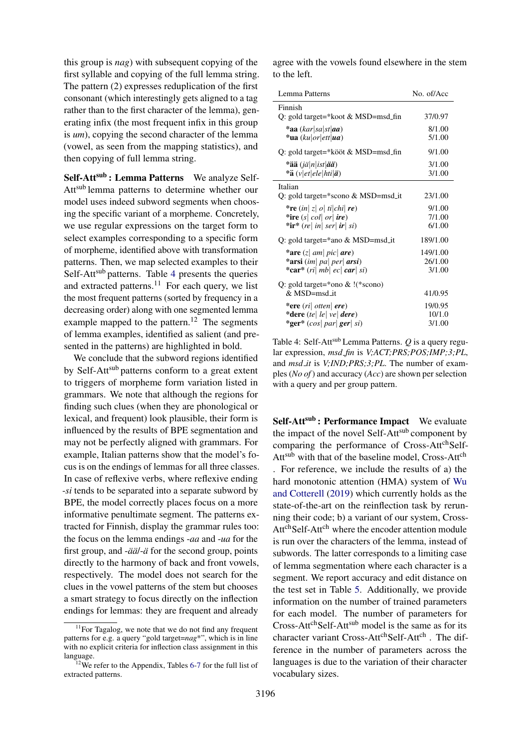this group is *nag*) with subsequent copying of the first syllable and copying of the full lemma string. The pattern (2) expresses reduplication of the first consonant (which interestingly gets aligned to a tag rather than to the first character of the lemma), generating infix (the most frequent infix in this group is *um*), copying the second character of the lemma (vowel, as seen from the mapping statistics), and then copying of full lemma string.

Self-Att<sup>sub</sup>: Lemma Patterns We analyze Self-Attsub lemma patterns to determine whether our model uses indeed subword segments when choosing the specific variant of a morpheme. Concretely, we use regular expressions on the target form to select examples corresponding to a specific form of morpheme, identified above with transformation patterns. Then, we map selected examples to their Self-Att<sup>sub</sup> patterns. Table [4](#page-7-0) presents the queries and extracted patterns. $11$  For each query, we list the most frequent patterns (sorted by frequency in a decreasing order) along with one segmented lemma example mapped to the pattern.<sup>12</sup> The segments of lemma examples, identified as salient (and presented in the patterns) are highlighted in bold.

We conclude that the subword regions identified by Self-Att<sup>sub</sup> patterns conform to a great extent to triggers of morpheme form variation listed in grammars. We note that although the regions for finding such clues (when they are phonological or lexical, and frequent) look plausible, their form is influenced by the results of BPE segmentation and may not be perfectly aligned with grammars. For example, Italian patterns show that the model's focus is on the endings of lemmas for all three classes. In case of reflexive verbs, where reflexive ending -*si* tends to be separated into a separate subword by BPE, the model correctly places focus on a more informative penultimate segment. The patterns extracted for Finnish, display the grammar rules too: the focus on the lemma endings -*aa* and -*ua* for the first group, and -*ää* $i$ -*a*ï for the second group, points directly to the harmony of back and front vowels, respectively. The model does not search for the clues in the vowel patterns of the stem but chooses a smart strategy to focus directly on the inflection endings for lemmas: they are frequent and already

agree with the vowels found elsewhere in the stem to the left.

<span id="page-7-0"></span>

| Lemma Patterns                                                   | No. of/Acc |
|------------------------------------------------------------------|------------|
| Finnish                                                          |            |
| Q: gold target=*koot & MSD=msd_fin                               | 37/0.97    |
| $*$ aa (kar sa st aa)                                            | 8/1.00     |
| $\cdot$ ua (ku or ett ua)                                        | 5/1.00     |
| Q: gold target=*kööt & MSD=msd_fin                               | 9/1.00     |
| *ää $(i\ddot{a} n ist \ddot{a}\ddot{a})$                         | 3/1.00     |
| *ä $(v et ele hti \ddot{a})$                                     | 3/1.00     |
| Italian                                                          |            |
| Q: gold target= $*$ scono & MSD=msd_it                           | 23/1.00    |
| *re $(in z o $ ti chi  re)                                       | 9/1.00     |
| *ire $(s \mid col \mid or \mid ire)$                             | 7/1.00     |
| *ir* (re  in  ser  ir  si)                                       | 6/1.00     |
| Q: gold target=*ano & MSD=msd_it                                 | 189/1.00   |
| *are $(z \mid am \mid pic \mid are)$                             | 149/1.00   |
| *arsi (im  pa  per  arsi)                                        | 26/1.00    |
| *car* $\left(\frac{ri}{mb}\right ec$ car $\left si\right\rangle$ | 3/1.00     |
| Q: gold target=*ono $&$ ! (*scono)                               |            |
| $& MSD=msd_i$                                                    | 41/0.95    |
| *ere $\left(\frac{ri}{i}\right)$ otten $\left  \right $ ere)     | 19/0.95    |
| *dere $(te \,   \, le \,   \, ve \,   \, dere)$                  | 10/1.0     |
| *ger* $(cos par ger si)$                                         | 3/1.00     |

Table 4: Self-Att<sup>sub</sup> Lemma Patterns. *O* is a query regular expression, *msd fin* is *V;ACT;PRS;POS;IMP;3;PL*, and *msd\_it* is *V;IND;PRS;3;PL*. The number of examples (*No of*) and accuracy (*Acc*) are shown per selection with a query and per group pattern.

Self-Att<sup>sub</sup>: Performance Impact We evaluate the impact of the novel Self-Att<sup>sub</sup> component by comparing the performance of Cross-Att<sup>ch</sup>Self-Att<sup>sub</sup> with that of the baseline model, Cross-Att<sup>ch</sup> . For reference, we include the results of a) the hard monotonic attention (HMA) system of [Wu](#page-10-2) [and Cotterell](#page-10-2) [\(2019\)](#page-10-2) which currently holds as the state-of-the-art on the reinflection task by rerunning their code; b) a variant of our system, Cross-Att<sup>ch</sup>Self-Att<sup>ch</sup> where the encoder attention module is run over the characters of the lemma, instead of subwords. The latter corresponds to a limiting case of lemma segmentation where each character is a segment. We report accuracy and edit distance on the test set in Table [5.](#page-8-0) Additionally, we provide information on the number of trained parameters for each model. The number of parameters for Cross-Att<sup>ch</sup>Self-Att<sup>sub</sup> model is the same as for its character variant Cross-Att<sup>ch</sup>Self-Att<sup>ch</sup> . The difference in the number of parameters across the languages is due to the variation of their character vocabulary sizes.

<sup>&</sup>lt;sup>11</sup>For Tagalog, we note that we do not find any frequent patterns for e.g. a query "gold target=*nag*\*", which is in line with no explicit criteria for inflection class assignment in this language.

 $12$ We refer to the Appendix, Tables [6](#page-12-0)[-7](#page-12-1) for the full list of extracted patterns.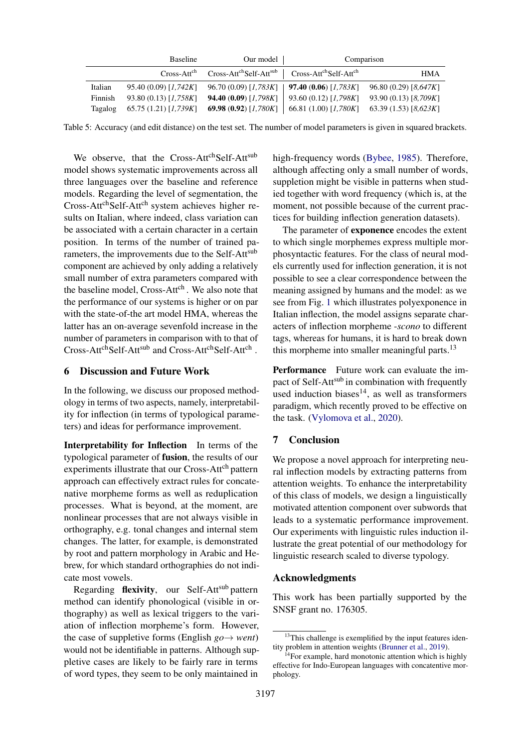<span id="page-8-0"></span>

|         | <b>Baseline</b>                             | Our model                                                                                      |                                             | Comparison            |
|---------|---------------------------------------------|------------------------------------------------------------------------------------------------|---------------------------------------------|-----------------------|
|         | $Cross-Attcn$                               | Cross-Att <sup>ch</sup> Self-Att <sup>sub</sup> Cross-Att <sup>ch</sup> Self-Att <sup>ch</sup> |                                             | HMA                   |
| Italian | 95.40 (0.09) [1,742K]                       | $96.70(0.09)[1,783K]$   <b>97.40 (0.06)</b> [1,783K]                                           |                                             | 96.80 (0.29) [8,647K] |
| Finnish | 93.80(0.13)[1,758K]                         | <b>94.40 (0.09)</b> [1,798K]                                                                   | 93.60 (0.12) [1,798K]                       | 93.90 (0.13) [8,709K] |
| Tagalog | 65.75 (1.21) [1,739K] 69.98 (0.92) [1,780K] |                                                                                                | 66.81 (1.00) [1,780K] 63.39 (1.53) [8,623K] |                       |

Table 5: Accuracy (and edit distance) on the test set. The number of model parameters is given in squared brackets.

We observe, that the Cross-AttchSelf-Attsub model shows systematic improvements across all three languages over the baseline and reference models. Regarding the level of segmentation, the Cross-Att<sup>ch</sup>Self-Att<sup>ch</sup> system achieves higher results on Italian, where indeed, class variation can be associated with a certain character in a certain position. In terms of the number of trained parameters, the improvements due to the Self-Att<sup>sub</sup> component are achieved by only adding a relatively small number of extra parameters compared with the baseline model, Cross-Att<sup>ch</sup>. We also note that the performance of our systems is higher or on par with the state-of-the art model HMA, whereas the latter has an on-average sevenfold increase in the number of parameters in comparison with to that of Cross-Att<sup>ch</sup>Self-Att<sup>sub</sup> and Cross-Att<sup>ch</sup>Self-Att<sup>ch</sup>.

#### 6 Discussion and Future Work

In the following, we discuss our proposed methodology in terms of two aspects, namely, interpretability for inflection (in terms of typological parameters) and ideas for performance improvement.

Interpretability for Inflection In terms of the typological parameter of fusion, the results of our experiments illustrate that our Cross-Att<sup>ch</sup> pattern approach can effectively extract rules for concatenative morpheme forms as well as reduplication processes. What is beyond, at the moment, are nonlinear processes that are not always visible in orthography, e.g. tonal changes and internal stem changes. The latter, for example, is demonstrated by root and pattern morphology in Arabic and Hebrew, for which standard orthographies do not indicate most vowels.

Regarding flexivity, our Self-Attsub pattern method can identify phonological (visible in orthography) as well as lexical triggers to the variation of inflection morpheme's form. However, the case of suppletive forms (English  $go \rightarrow went$ ) would not be identifiable in patterns. Although suppletive cases are likely to be fairly rare in terms of word types, they seem to be only maintained in

high-frequency words [\(Bybee,](#page-9-20) [1985\)](#page-9-20). Therefore, although affecting only a small number of words, suppletion might be visible in patterns when studied together with word frequency (which is, at the moment, not possible because of the current practices for building inflection generation datasets).

The parameter of exponence encodes the extent to which single morphemes express multiple morphosyntactic features. For the class of neural models currently used for inflection generation, it is not possible to see a clear correspondence between the meaning assigned by humans and the model: as we see from Fig. [1](#page-1-0) which illustrates polyexponence in Italian inflection, the model assigns separate characters of inflection morpheme -*scono* to different tags, whereas for humans, it is hard to break down this morpheme into smaller meaningful parts. $13$ 

Performance Future work can evaluate the impact of Self-Att<sup>sub</sup> in combination with frequently used induction biases $^{14}$ , as well as transformers paradigm, which recently proved to be effective on the task. [\(Vylomova et al.,](#page-10-0) [2020\)](#page-10-0).

### 7 Conclusion

We propose a novel approach for interpreting neural inflection models by extracting patterns from attention weights. To enhance the interpretability of this class of models, we design a linguistically motivated attention component over subwords that leads to a systematic performance improvement. Our experiments with linguistic rules induction illustrate the great potential of our methodology for linguistic research scaled to diverse typology.

#### Acknowledgments

This work has been partially supported by the SNSF grant no. 176305.

<sup>&</sup>lt;sup>13</sup>This challenge is exemplified by the input features identity problem in attention weights [\(Brunner et al.,](#page-9-21) [2019\)](#page-9-21).

 $14$ For example, hard monotonic attention which is highly effective for Indo-European languages with concatentive morphology.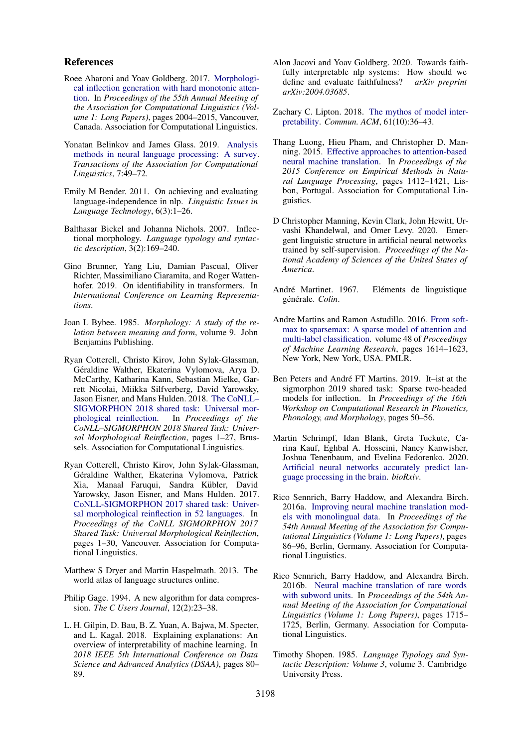## References

- <span id="page-9-9"></span>Roee Aharoni and Yoav Goldberg. 2017. [Morphologi](https://doi.org/10.18653/v1/P17-1183)[cal inflection generation with hard monotonic atten](https://doi.org/10.18653/v1/P17-1183)[tion.](https://doi.org/10.18653/v1/P17-1183) In *Proceedings of the 55th Annual Meeting of the Association for Computational Linguistics (Volume 1: Long Papers)*, pages 2004–2015, Vancouver, Canada. Association for Computational Linguistics.
- <span id="page-9-3"></span>Yonatan Belinkov and James Glass. 2019. [Analysis](https://doi.org/10.1162/tacl_a_00254) [methods in neural language processing: A survey.](https://doi.org/10.1162/tacl_a_00254) *Transactions of the Association for Computational Linguistics*, 7:49–72.
- <span id="page-9-6"></span>Emily M Bender. 2011. On achieving and evaluating language-independence in nlp. *Linguistic Issues in Language Technology*, 6(3):1–26.
- <span id="page-9-14"></span>Balthasar Bickel and Johanna Nichols. 2007. Inflectional morphology. *Language typology and syntactic description*, 3(2):169–240.
- <span id="page-9-21"></span>Gino Brunner, Yang Liu, Damian Pascual, Oliver Richter, Massimiliano Ciaramita, and Roger Wattenhofer. 2019. On identifiability in transformers. In *International Conference on Learning Representations*.
- <span id="page-9-20"></span>Joan L Bybee. 1985. *Morphology: A study of the relation between meaning and form*, volume 9. John Benjamins Publishing.
- <span id="page-9-8"></span>Ryan Cotterell, Christo Kirov, John Sylak-Glassman, Géraldine Walther, Ekaterina Vylomova, Arya D. McCarthy, Katharina Kann, Sebastian Mielke, Garrett Nicolai, Miikka Silfverberg, David Yarowsky, Jason Eisner, and Mans Hulden. 2018. [The CoNLL–](https://doi.org/10.18653/v1/K18-3001) [SIGMORPHON 2018 shared task: Universal mor](https://doi.org/10.18653/v1/K18-3001)[phological reinflection.](https://doi.org/10.18653/v1/K18-3001) In *Proceedings of the CoNLL–SIGMORPHON 2018 Shared Task: Universal Morphological Reinflection*, pages 1–27, Brussels. Association for Computational Linguistics.
- <span id="page-9-7"></span>Ryan Cotterell, Christo Kirov, John Sylak-Glassman, Géraldine Walther, Ekaterina Vylomova, Patrick Xia, Manaal Faruqui, Sandra Kübler, David Yarowsky, Jason Eisner, and Mans Hulden. 2017. [CoNLL-SIGMORPHON 2017 shared task: Univer](https://doi.org/10.18653/v1/K17-2001)[sal morphological reinflection in 52 languages.](https://doi.org/10.18653/v1/K17-2001) In *Proceedings of the CoNLL SIGMORPHON 2017 Shared Task: Universal Morphological Reinflection*, pages 1–30, Vancouver. Association for Computational Linguistics.
- <span id="page-9-13"></span>Matthew S Dryer and Martin Haspelmath. 2013. The world atlas of language structures online.
- <span id="page-9-18"></span>Philip Gage. 1994. A new algorithm for data compression. *The C Users Journal*, 12(2):23–38.
- <span id="page-9-1"></span>L. H. Gilpin, D. Bau, B. Z. Yuan, A. Bajwa, M. Specter, and L. Kagal. 2018. Explaining explanations: An overview of interpretability of machine learning. In *2018 IEEE 5th International Conference on Data Science and Advanced Analytics (DSAA)*, pages 80– 89.
- <span id="page-9-2"></span>Alon Jacovi and Yoav Goldberg. 2020. Towards faithfully interpretable nlp systems: How should we define and evaluate faithfulness? *arXiv preprint arXiv:2004.03685*.
- <span id="page-9-0"></span>Zachary C. Lipton. 2018. [The mythos of model inter](https://doi.org/10.1145/3233231)[pretability.](https://doi.org/10.1145/3233231) *Commun. ACM*, 61(10):36–43.
- <span id="page-9-15"></span>Thang Luong, Hieu Pham, and Christopher D. Manning. 2015. [Effective approaches to attention-based](https://doi.org/10.18653/v1/D15-1166) [neural machine translation.](https://doi.org/10.18653/v1/D15-1166) In *Proceedings of the 2015 Conference on Empirical Methods in Natural Language Processing*, pages 1412–1421, Lisbon, Portugal. Association for Computational Linguistics.
- <span id="page-9-4"></span>D Christopher Manning, Kevin Clark, John Hewitt, Urvashi Khandelwal, and Omer Levy. 2020. Emergent linguistic structure in artificial neural networks trained by self-supervision. *Proceedings of the National Academy of Sciences of the United States of America*.
- <span id="page-9-11"></span>André Martinet. 1967. Eléments de linguistique générale. Colin.
- <span id="page-9-16"></span>Andre Martins and Ramon Astudillo. 2016. [From soft](http://proceedings.mlr.press/v48/martins16.html)[max to sparsemax: A sparse model of attention and](http://proceedings.mlr.press/v48/martins16.html) [multi-label classification.](http://proceedings.mlr.press/v48/martins16.html) volume 48 of *Proceedings of Machine Learning Research*, pages 1614–1623, New York, New York, USA. PMLR.
- <span id="page-9-10"></span>Ben Peters and André FT Martins. 2019. It-ist at the sigmorphon 2019 shared task: Sparse two-headed models for inflection. In *Proceedings of the 16th Workshop on Computational Research in Phonetics, Phonology, and Morphology*, pages 50–56.
- <span id="page-9-5"></span>Martin Schrimpf, Idan Blank, Greta Tuckute, Carina Kauf, Eghbal A. Hosseini, Nancy Kanwisher, Joshua Tenenbaum, and Evelina Fedorenko. 2020. [Artificial neural networks accurately predict lan](https://doi.org/10.1101/2020.06.26.174482)[guage processing in the brain.](https://doi.org/10.1101/2020.06.26.174482) *bioRxiv*.
- <span id="page-9-17"></span>Rico Sennrich, Barry Haddow, and Alexandra Birch. 2016a. [Improving neural machine translation mod](https://doi.org/10.18653/v1/P16-1009)[els with monolingual data.](https://doi.org/10.18653/v1/P16-1009) In *Proceedings of the 54th Annual Meeting of the Association for Computational Linguistics (Volume 1: Long Papers)*, pages 86–96, Berlin, Germany. Association for Computational Linguistics.
- <span id="page-9-19"></span>Rico Sennrich, Barry Haddow, and Alexandra Birch. 2016b. [Neural machine translation of rare words](https://doi.org/10.18653/v1/P16-1162) [with subword units.](https://doi.org/10.18653/v1/P16-1162) In *Proceedings of the 54th Annual Meeting of the Association for Computational Linguistics (Volume 1: Long Papers)*, pages 1715– 1725, Berlin, Germany. Association for Computational Linguistics.
- <span id="page-9-12"></span>Timothy Shopen. 1985. *Language Typology and Syntactic Description: Volume 3*, volume 3. Cambridge University Press.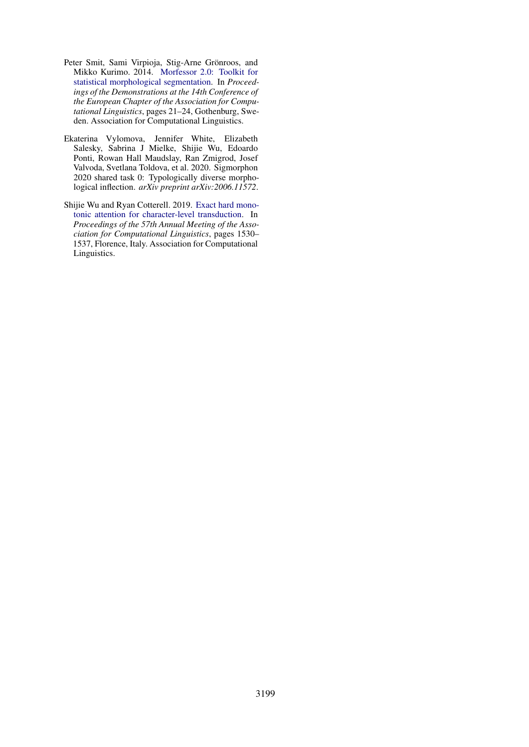- <span id="page-10-1"></span>Peter Smit, Sami Virpioja, Stig-Arne Grönroos, and Mikko Kurimo. 2014. [Morfessor 2.0: Toolkit for](https://doi.org/10.3115/v1/E14-2006) [statistical morphological segmentation.](https://doi.org/10.3115/v1/E14-2006) In *Proceedings of the Demonstrations at the 14th Conference of the European Chapter of the Association for Computational Linguistics*, pages 21–24, Gothenburg, Sweden. Association for Computational Linguistics.
- <span id="page-10-0"></span>Ekaterina Vylomova, Jennifer White, Elizabeth Salesky, Sabrina J Mielke, Shijie Wu, Edoardo Ponti, Rowan Hall Maudslay, Ran Zmigrod, Josef Valvoda, Svetlana Toldova, et al. 2020. Sigmorphon 2020 shared task 0: Typologically diverse morphological inflection. *arXiv preprint arXiv:2006.11572*.
- <span id="page-10-2"></span>Shijie Wu and Ryan Cotterell. 2019. [Exact hard mono](https://doi.org/10.18653/v1/P19-1148)[tonic attention for character-level transduction.](https://doi.org/10.18653/v1/P19-1148) In *Proceedings of the 57th Annual Meeting of the Association for Computational Linguistics*, pages 1530– 1537, Florence, Italy. Association for Computational Linguistics.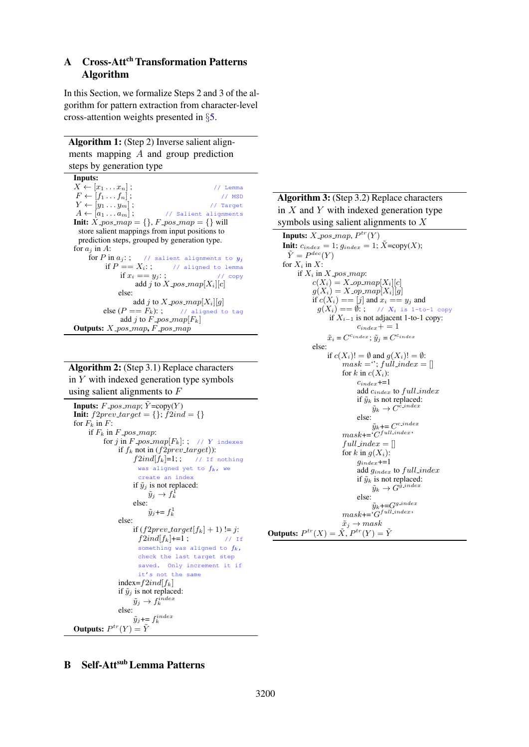# A Cross-Att<sup>ch</sup> Transformation Patterns Algorithm

In this Section, we formalize Steps 2 and 3 of the algorithm for pattern extraction from character-level cross-attention weights presented in §[5.](#page-6-1)

Algorithm 1: (Step 2) Inverse salient alignments mapping A and group prediction steps by generation type

```
Inputs:
X \leftarrow [x_1 \dots x_n]; // Lemma
F \leftarrow [f_1 \dots f_n]; // MSD<br>
Y \leftarrow [y_1 \dots y_m]; // Target
Y \leftarrow [y_1 \dots y_m];
A \leftarrow [a_1 \dots a_m]; // Salient alignments
Init: X_{-pos\_map} = \{\}, F_{-pos\_map} = \{\} will
 store salient mappings from input positions to
 prediction steps, grouped by generation type.
for a_j in A:<br>for P in a_j:;
                      // salient alignments to y_iif P == X_i:; // aligned to lemma
              if x_i == y_i:; // copy
                   add j to X-pos-map[X_i][c]else:
                   add j to X<sub>-</sub>pos<sub>-map[X_i][g]</sub>
         else (P == F_k): ; // aligned to tag
               add j to F_{\text{-}pos\_map}[F_k]Outputs: X_pos_map, F_pos_map
```
# Algorithm 2: (Step 3.1) Replace characters in  $Y$  with indexed generation type symbols using salient alignments to  $F$

```
Inputs: F_{-pos\_map}; \tilde{Y} = copy(Y)Init: f2prev\_target = \{\}; f2ind = \{\}for F_k in F:
     if F_k in F_{\text{-}pos\_map}:
           for j in F_{\perp}pos\_map[F_k]: ; // Y indexes
                if f_k not in (f2prev\_target)):
                      f2ind[f_k]=1;; // If nothing
                        was aligned yet to f_k, we
                        create an index
                      if \tilde{y}_i is not replaced:
                            \tilde{y}_j \to f_k^1else:
                            \tilde{y}_j \leftarrow f_k^1else:
                      if (f2prev\_target[f_k] + 1) := j:<br>f2ind[f_k]+1:
                        \int 2i n d[f_k]+=1;
                        something was aligned to f_k,
                        check the last target step
                        saved. Only increment it if
                        it's not the same
                index=f2ind[f_k]if \tilde{y}_i is not replaced:
                       \tilde{y}_j \rightarrow f_k^{index}else:
                       \tilde{y}_j \leftarrow f_k^{index}Outputs: P^{tr}(Y) = \tilde{Y}
```
# Algorithm 3: (Step 3.2) Replace characters in  $X$  and  $Y$  with indexed generation type symbols using salient alignments to  $X$

```
Inputs: X<sub>-pos-map, P^{tr}(Y)</sub>
     Init: c_{index} = 1; g_{index} = 1; \bar{X} = \text{copy}(X);
        \tilde{Y} = P^{dec}(Y)for X_i in X:
            if X_i in X-pos-map:
                  c(X_i) = X \text{submap}[X_i][c]g(X_i) = X \cdot op \cdot map[X_i][g]if c(X_i) == [j] and x_i == y_j and
                    g(X_i) = \emptyset:; // X_i is 1-to-1 copy
                          if X_{i-1} is not adjacent 1-to-1 copy:
                                     c_{index} += 1\tilde{x}_i = C^{c_{index}}; \tilde{y}_j = C^{c_{index}}else:
                         if c(X_i)! = \emptyset and q(X_i)! = \emptyset:
                               mask = "; full_index = []for k in c(X_i):
                                     c_{index}+=1
                                     add c_{index} to full\_indexif \tilde{y}_k is not replaced:
                                            \tilde{y}_k \rightarrow C^{\tilde{c}.\text{index}}else:
                                            \tilde{y}_k+= C^{c\_index}mask += C^{\text{full}\text{.index}}full\_index = []for k in q(X_i):
                                      q_{index} \neq 1add g_{index} to full\_indexif \tilde{y}_k is not replaced:
                                            \tilde{y}_k \rightarrow G^{\tilde{g} \text{-}index}else:
                                            \tilde{y}_k+=G^{g\_index}mask \leftarrow G^{\text{full}\text{-}index}\tilde{x}_j \rightarrow maskOutputs: P^{tr}(X) = \tilde{X}, P^{tr}(Y) = \tilde{Y}
```
# **B** Self-Att<sup>sub</sup> Lemma Patterns